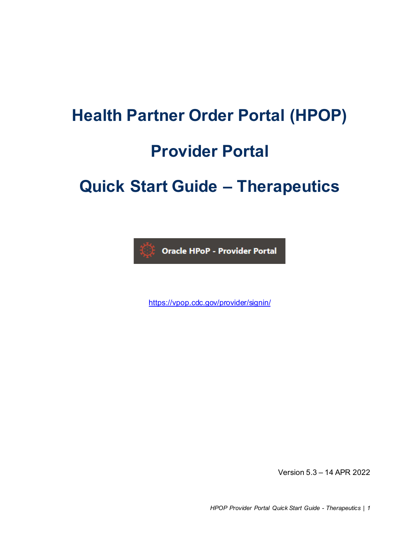# **Health Partner Order Portal (HPOP) Provider Portal Quick Start Guide – Therapeutics**



<https://vpop.cdc.gov/provider/signin/>

Version 5.3 – 14 APR 2022

*HPOP Provider Portal Quick Start Guide - Therapeutics | 1*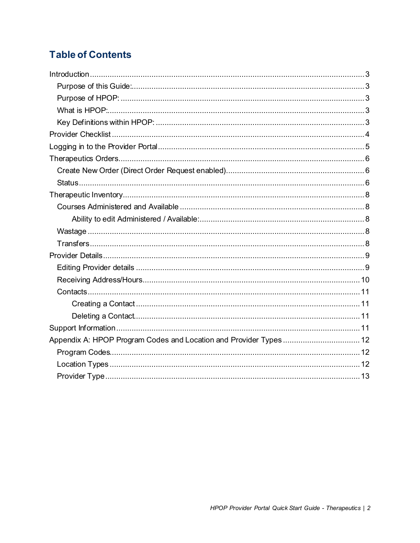# **Table of Contents**

| Appendix A: HPOP Program Codes and Location and Provider Types  12 |
|--------------------------------------------------------------------|
|                                                                    |
|                                                                    |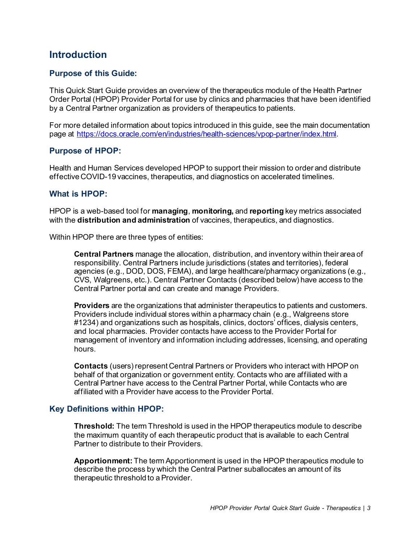## <span id="page-2-0"></span>**Introduction**

#### <span id="page-2-1"></span>**Purpose of this Guide:**

This Quick Start Guide provides an overview of the therapeutics module of the Health Partner Order Portal (HPOP) Provider Portal for use by clinics and pharmacies that have been identified by a Central Partner organization as providers of therapeutics to patients.

For more detailed information about topics introduced in this guide, see the main documentation page at [https://docs.oracle.com/en/industries/health-sciences/vpop-partner/index.html.](https://docs.oracle.com/en/industries/health-sciences/vpop-partner/index.html)

#### <span id="page-2-2"></span>**Purpose of HPOP:**

Health and Human Services developed HPOP to support their mission to order and distribute effective COVID-19 vaccines, therapeutics, and diagnostics on accelerated timelines.

#### <span id="page-2-3"></span>**What is HPOP:**

HPOP is a web-based tool for **managing**, **monitoring,** and **reporting** key metrics associated with the **distribution and administration** of vaccines, therapeutics, and diagnostics.

Within HPOP there are three types of entities:

**Central Partners** manage the allocation, distribution, and inventory within their area of responsibility. Central Partners include jurisdictions (states and territories), federal agencies (e.g., DOD, DOS, FEMA), and large healthcare/pharmacy organizations (e.g., CVS, Walgreens, etc.). Central Partner Contacts (described below) have access to the Central Partner portal and can create and manage Providers.

**Providers** are the organizations that administer therapeutics to patients and customers. Providers include individual stores within a pharmacy chain (e.g., Walgreens store #1234) and organizations such as hospitals, clinics, doctors' offices, dialysis centers, and local pharmacies. Provider contacts have access to the Provider Portal for management of inventory and information including addresses, licensing, and operating hours.

**Contacts** (users) represent Central Partners or Providers who interact with HPOP on behalf of that organization or government entity. Contacts who are affiliated with a Central Partner have access to the Central Partner Portal, while Contacts who are affiliated with a Provider have access to the Provider Portal.

#### <span id="page-2-4"></span>**Key Definitions within HPOP:**

**Threshold:** The term Threshold is used in the HPOP therapeutics module to describe the maximum quantity of each therapeutic product that is available to each Central Partner to distribute to their Providers.

**Apportionment:** The term Apportionment is used in the HPOP therapeutics module to describe the process by which the Central Partner suballocates an amount of its therapeutic threshold to a Provider.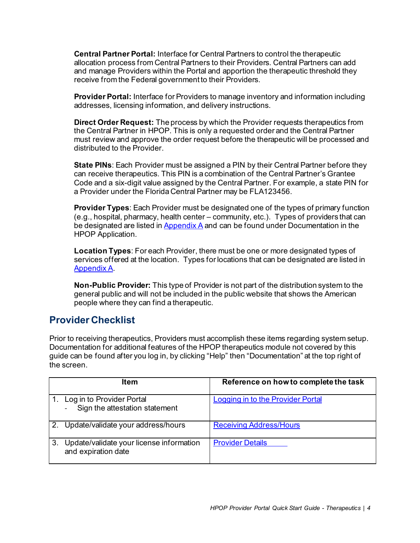**Central Partner Portal:** Interface for Central Partners to control the therapeutic allocation process from Central Partners to their Providers. Central Partners can add and manage Providers within the Portal and apportion the therapeutic threshold they receive from the Federal government to their Providers.

**Provider Portal:** Interface for Providers to manage inventory and information including addresses, licensing information, and delivery instructions.

**Direct Order Request:** The process by which the Provider requests therapeutics from the Central Partner in HPOP. This is only a requested order and the Central Partner must review and approve the order request before the therapeutic will be processed and distributed to the Provider.

**State PINs**: Each Provider must be assigned a PIN by their Central Partner before they can receive therapeutics. This PIN is a combination of the Central Partner's Grantee Code and a six-digit value assigned by the Central Partner. For example, a state PIN for a Provider under the Florida Central Partner may be FLA123456.

**Provider Types**: Each Provider must be designated one of the types of primary function (e.g., hospital, pharmacy, health center – community, etc.). Types of providers that can be designated are listed in [Appendix A](#page-11-1) and can be found under Documentation in the HPOP Application.

**Location Types**: For each Provider, there must be one or more designated types of services offered at the location. Types for locations that can be designated are listed in [Appendix A.](#page-12-1)

**Non-Public Provider:** This type of Provider is not part of the distribution system to the general public and will not be included in the public website that shows the American people where they can find a therapeutic.

# <span id="page-3-0"></span>**Provider Checklist**

Prior to receiving therapeutics, Providers must accomplish these items regarding system setup. Documentation for additional features of the HPOP therapeutics module not covered by this guide can be found after you log in, by clicking "Help" then "Documentation" at the top right of the screen.

| Item                                                                  | Reference on how to complete the task    |
|-----------------------------------------------------------------------|------------------------------------------|
| Log in to Provider Portal<br>Sign the attestation statement           | <b>Logging in to the Provider Portal</b> |
| Update/validate your address/hours<br>2.                              | <b>Receiving Address/Hours</b>           |
| Update/validate your license information<br>3.<br>and expiration date | <b>Provider Details</b>                  |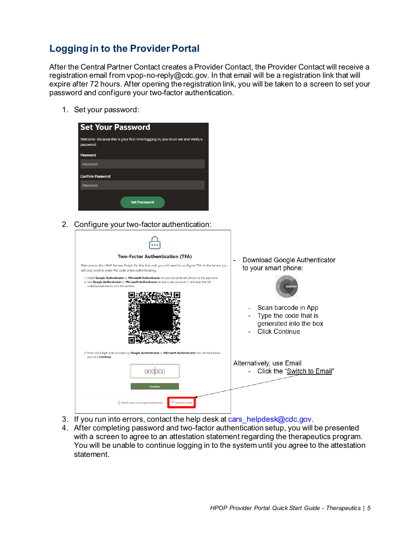# <span id="page-4-0"></span>**Logging in to the Provider Portal**

After the Central Partner Contact creates a Provider Contact, the Provider Contact will receive a registration email from vpop-no-reply@cdc.gov. In that email will be a registration link that will expire after 72 hours. After opening the registration link, you will be taken to a screen to set your password and configure your two-factor authentication.

1. Set your password:



2. Configure your two-factor authentication:

| <b>Two-Factor Authentication (TFA)</b><br>Welcome to the HPoP Partner Portal. On this first visit, you will need to configure TFA. In the future, you<br>will only need to enter the code when authenticating.                                      | Download Google Authenticator<br>to your smart phone:                                           |
|-----------------------------------------------------------------------------------------------------------------------------------------------------------------------------------------------------------------------------------------------------|-------------------------------------------------------------------------------------------------|
| 1. Install Google Authenticator or Microsoft Authenticator on your personal cell phone via the app store.<br>2. Use Google Authenticator or Microsoft Authenticator to add a new account (+) and scan the QR<br>code/barcode below with the camera. | Scan barcode in App<br>Type the code that is<br>generated into the box<br><b>Click Continue</b> |
| 3. Enter the 6 digit code provided by Google Authenticator or Microsoft Authenticator into the field below<br>and click Continue.<br><b>Continue</b><br>Switch to Email<br>Watch video on Google Authenticator                                      | Alternatively, use Email<br>Click the "Switch to Email"                                         |

- 3. If you run into errors, contact the help desk at cars helpdesk@cdc.gov.
- 4. After completing password and two-factor authentication setup, you will be presented with a screen to agree to an attestation statement regarding the therapeutics program. You will be unable to continue logging in to the system until you agree to the attestation statement.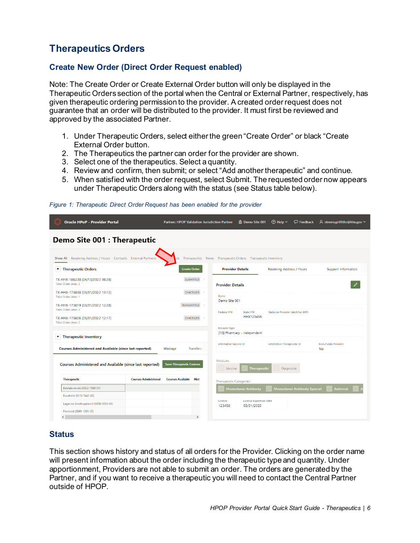# <span id="page-5-0"></span>**Therapeutics Orders**

## <span id="page-5-1"></span>**Create New Order (Direct Order Request enabled)**

Note: The Create Order or Create External Order button will only be displayed in the Therapeutic Orders section of the portal when the Central or External Partner, respectively, has given therapeutic ordering permission to the provider. A created order request does not guarantee that an order will be distributed to the provider. It must first be reviewed and approved by the associated Partner.

- 1. Under Therapeutic Orders, select either the green "Create Order" or black "Create External Order button.
- 2. The Therapeutics the partner can order for the provider are shown.
- 3. Select one of the therapeutics. Select a quantity.
- 4. Review and confirm, then submit; or select "Add another therapeutic" and continue.
- 5. When satisfied with the order request, select Submit. The requested order now appears under Therapeutic Orders along with the status (see Status table below).

*Figure 1: Therapeutic Direct Order Request has been enabled for the provider*

| <b>Oracle HPoP - Provider Portal</b>                            |                             | Partner: HPOP Validation Jurisdiction Partner | Demo Site 001                                                     | ◯ Help $∼$<br>$\heartsuit$ Feedback | Я steven.griffiths@hhs.gov ∨     |
|-----------------------------------------------------------------|-----------------------------|-----------------------------------------------|-------------------------------------------------------------------|-------------------------------------|----------------------------------|
| <b>Demo Site 001 : Therapeutic</b>                              |                             |                                               |                                                                   |                                     |                                  |
| Show All Receiving Address / Hours Contacts External Partners   |                             |                                               | Therapeutics News Therapeutic Orders Therapeutic Inventory        |                                     |                                  |
| <b>Therapeutic Orders</b><br>v                                  |                             | <b>Create Order</b>                           | <b>Provider Details</b>                                           | Receiving Address / Hours           | <b>Support Information</b>       |
| TX-HHX-186238 (04/13/2022 08:28)<br><b>Total Order Lines: 2</b> |                             | SUBMITTED                                     | <b>Provider Details</b>                                           |                                     |                                  |
| TX-HHX-173838 (03/31/2022 13:12)<br><b>Total Order Lines: 1</b> |                             | CANCELLED                                     | Name<br>Demo Site 001                                             |                                     |                                  |
| TX-HHX-173819 (03/31/2022 12:28)<br><b>Total Order Lines: 2</b> |                             | TRANSMITTED                                   | <b>Federal PIN</b><br><b>State PIN</b>                            | National Provider Identifier (NPI)  |                                  |
| TX-HHX-173806 (03/31/2022 12:17)<br><b>Total Order Lines: 2</b> |                             | CANCELLED                                     | HHX123456                                                         |                                     |                                  |
| Therapeutic Inventory                                           |                             |                                               | Provider Type<br>[18] Pharmacy - independent                      |                                     |                                  |
| <b>Courses Administered and Available (since last reported)</b> | Wastage                     | <b>Transfers</b>                              | <b>Alternative Vaccine ID</b>                                     | <b>Alternative Therapeutic ID</b>   | <b>Non-Public Provider</b><br>No |
| <b>Courses Administered and Available (since last reported)</b> |                             | <b>Save Therapeutic Courses</b>               | Modules<br>Vaccine<br>✓                                           | <b>Therapeutic</b><br>Diagnostic    |                                  |
| <b>Therapeutic</b>                                              | <b>Courses Administered</b> | <b>Courses Available</b><br><b>Hist</b>       | <b>Therapeutic Categories</b>                                     |                                     |                                  |
| Bebtelovimab (0002-7589-01)                                     |                             |                                               | <b>Monoclonal Antibody</b>                                        | <b>Monoclonal Antibody Special</b>  | Antiviral                        |
| Evusheld (0310-7442-02)                                         |                             |                                               |                                                                   |                                     |                                  |
| Lagevrio (molnupiravir) (0006-5055-06)                          |                             |                                               | <b>License Expiration Date</b><br>License<br>03/31/2025<br>123456 |                                     |                                  |
|                                                                 |                             |                                               |                                                                   |                                     |                                  |

#### <span id="page-5-2"></span>**Status**

This section shows history and status of all orders for the Provider. Clicking on the order name will present information about the order including the therapeutic type and quantity. Under apportionment, Providers are not able to submit an order. The orders are generated by the Partner, and if you want to receive a therapeutic you will need to contact the Central Partner outside of HPOP.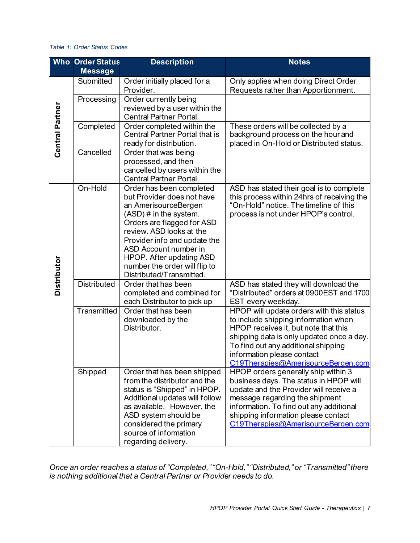#### *Table 1: Order Status Codes*

|                        | <b>Who Order Status</b>     | <b>Description</b>                                                                                                                                                                                                                                                                                                     | <b>Notes</b>                                                                                                                                                                                                                                                                      |
|------------------------|-----------------------------|------------------------------------------------------------------------------------------------------------------------------------------------------------------------------------------------------------------------------------------------------------------------------------------------------------------------|-----------------------------------------------------------------------------------------------------------------------------------------------------------------------------------------------------------------------------------------------------------------------------------|
|                        | <b>Message</b><br>Submitted | Order initially placed for a                                                                                                                                                                                                                                                                                           | Only applies when doing Direct Order                                                                                                                                                                                                                                              |
|                        |                             | Provider.                                                                                                                                                                                                                                                                                                              | Requests rather than Apportionment.                                                                                                                                                                                                                                               |
|                        | Processing                  | Order currently being<br>reviewed by a user within the<br><b>Central Partner Portal.</b>                                                                                                                                                                                                                               |                                                                                                                                                                                                                                                                                   |
| <b>Central Partner</b> | Completed                   | Order completed within the<br><b>Central Partner Portal that is</b><br>ready for distribution.                                                                                                                                                                                                                         | These orders will be collected by a<br>background process on the hour and<br>placed in On-Hold or Distributed status.                                                                                                                                                             |
|                        | Cancelled                   | Order that was being<br>processed, and then<br>cancelled by users within the<br><b>Central Partner Portal.</b>                                                                                                                                                                                                         |                                                                                                                                                                                                                                                                                   |
| Distributor            | On-Hold                     | Order has been completed<br>but Provider does not have<br>an AmerisourceBergen<br>$(ASD)$ # in the system.<br>Orders are flagged for ASD<br>review. ASD looks at the<br>Provider info and update the<br>ASD Account number in<br>HPOP. After updating ASD<br>number the order will flip to<br>Distributed/Transmitted. | ASD has stated their goal is to complete<br>this process within 24hrs of receiving the<br>"On-Hold" notice. The timeline of this<br>process is not under HPOP's control.                                                                                                          |
|                        | <b>Distributed</b>          | Order that has been<br>completed and combined for<br>each Distributor to pick up                                                                                                                                                                                                                                       | ASD has stated they will download the<br>"Distributed" orders at 0900EST and 1700<br>EST every weekday.                                                                                                                                                                           |
|                        | Transmitted                 | Order that has been<br>downloaded by the<br>Distributor.                                                                                                                                                                                                                                                               | HPOP will update orders with this status<br>to include shipping information when<br>HPOP receives it, but note that this<br>shipping data is only updated once a day.<br>To find out any additional shipping<br>information please contact<br>C19Therapies@AmerisourceBergen.com  |
|                        | Shipped                     | Order that has been shipped<br>from the distributor and the<br>status is "Shipped" in HPOP.<br>Additional updates will follow<br>as available. However, the<br>ASD system should be<br>considered the primary<br>source of information<br>regarding delivery.                                                          | HPOP orders generally ship within 3<br>business days. The status in HPOP will<br>update and the Provider will receive a<br>message regarding the shipment<br>information. To find out any additional<br>shipping information please contact<br>C19Therapies@AmerisourceBergen.com |

*Once an order reaches a status of "Completed," "On-Hold," "Distributed," or "Transmitted" there is nothing additional that a Central Partner or Provider needs to do.*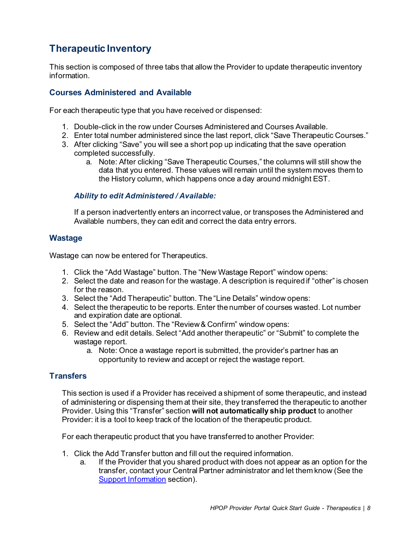# <span id="page-7-0"></span>**Therapeutic Inventory**

This section is composed of three tabs that allow the Provider to update therapeutic inventory information.

## <span id="page-7-1"></span>**Courses Administered and Available**

For each therapeutic type that you have received or dispensed:

- 1. Double-click in the row under Courses Administered and Courses Available.
- 2. Enter total number administered since the last report, click "Save Therapeutic Courses."
- 3. After clicking "Save" you will see a short pop up indicating that the save operation completed successfully.
	- a. Note: After clicking "Save Therapeutic Courses," the columns will still show the data that you entered. These values will remain until the system moves them to the History column, which happens once a day around midnight EST.

#### <span id="page-7-2"></span>*Ability to edit Administered / Available:*

If a person inadvertently enters an incorrect value, or transposes the Administered and Available numbers, they can edit and correct the data entry errors.

#### <span id="page-7-3"></span>**Wastage**

Wastage can now be entered for Therapeutics.

- 1. Click the "Add Wastage" button. The "New Wastage Report" window opens:
- 2. Select the date and reason for the wastage. A description is required if "other" is chosen for the reason.
- 3. Select the "Add Therapeutic" button. The "Line Details" window opens:
- 4. Select the therapeutic to be reports. Enter the number of courses wasted. Lot number and expiration date are optional.
- 5. Select the "Add" button. The "Review & Confirm" window opens:
- 6. Review and edit details. Select "Add another therapeutic" or "Submit" to complete the wastage report.
	- a. Note: Once a wastage report is submitted, the provider's partner has an opportunity to review and accept or reject the wastage report.

#### <span id="page-7-4"></span>**Transfers**

This section is used if a Provider has received a shipment of some therapeutic, and instead of administering or dispensing them at their site, they transferred the therapeutic to another Provider. Using this "Transfer" section **will not automatically ship product** to another Provider: it is a tool to keep track of the location of the therapeutic product.

For each therapeutic product that you have transferred to another Provider:

- 1. Click the Add Transfer button and fill out the required information.
	- a. If the Provider that you shared product with does not appear as an option for the transfer, contact your Central Partner administrator and let them know (See the [Support Information](#page-10-0) section).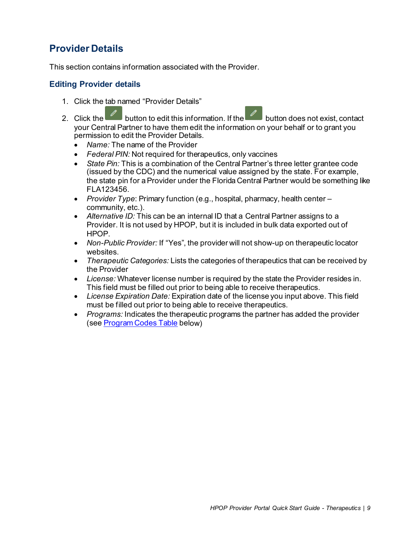# <span id="page-8-0"></span>**Provider Details**

This section contains information associated with the Provider.

## <span id="page-8-1"></span>**Editing Provider details**

- 1. Click the tab named "Provider Details"
- <span id="page-8-2"></span>2. Click the button to edit this information. If the button does not exist, contact your Central Partner to have them edit the information on your behalf or to grant you permission to edit the Provider Details.
	- *Name:* The name of the Provider
	- *Federal PIN:* Not required for therapeutics, only vaccines
	- *State Pin:* This is a combination of the Central Partner's three letter grantee code (issued by the CDC) and the numerical value assigned by the state. For example, the state pin for a Provider under the Florida Central Partner would be something like FLA123456.
	- *Provider Type*: Primary function (e.g., hospital, pharmacy, health center community, etc.).
	- *Alternative ID:* This can be an internal ID that a Central Partner assigns to a Provider. It is not used by HPOP, but it is included in bulk data exported out of HPOP.
	- *Non-Public Provider:* If "Yes", the provider will not show-up on therapeutic locator websites.
	- *Therapeutic Categories:* Lists the categories of therapeutics that can be received by the Provider
	- *License:* Whatever license number is required by the state the Provider resides in. This field must be filled out prior to being able to receive therapeutics.
	- *License Expiration Date:* Expiration date of the license you input above. This field must be filled out prior to being able to receive therapeutics.
	- *Programs:* Indicates the therapeutic programs the partner has added the provider (see Program Codes Table below)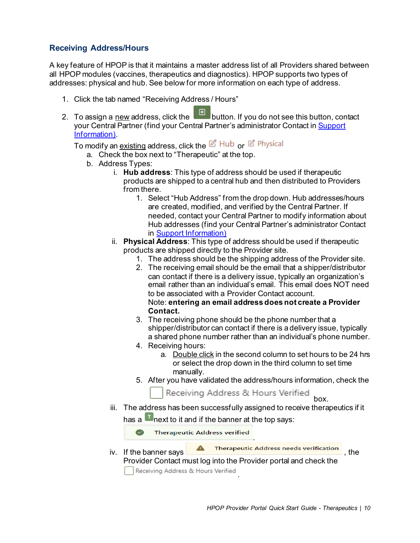## <span id="page-9-0"></span>**Receiving Address/Hours**

A key feature of HPOP is that it maintains a master address list of all Providers shared between all HPOP modules (vaccines, therapeutics and diagnostics). HPOP supports two types of addresses: physical and hub. See below for more information on each type of address.

- 1. Click the tab named "Receiving Address / Hours"
- 2. To assign a new address, click the **button.** If you do not see this button, contact your Central Partner (find your Central Partner's administrator Contact in Support [Information\)](#page-10-0).

To modify an existing address, click the  $\mathbb Z$  Hub or  $\mathbb Z$  Physical

- a. Check the box next to "Therapeutic" at the top.
	- b. Address Types:
		- i. **Hub address**: This type of address should be used if therapeutic products are shipped to a central hub and then distributed to Providers from there.
			- 1. Select "Hub Address" from the drop down. Hub addresses/hours are created, modified, and verified by the Central Partner. If needed, contact your Central Partner to modify information about Hub addresses (find your Central Partner's administrator Contact in [Support Information](#page-10-0))
		- ii. **Physical Address**: This type of address should be used if therapeutic products are shipped directly to the Provider site.
			- 1. The address should be the shipping address of the Provider site.
			- 2. The receiving email should be the email that a shipper/distributor can contact if there is a delivery issue, typically an organization's email rather than an individual's email. This email does NOT need to be associated with a Provider Contact account. Note: **entering an email address does not create a Provider Contact.**
			- 3. The receiving phone should be the phone number that a shipper/distributor can contact if there is a delivery issue, typically a shared phone number rather than an individual's phone number.
			- 4. Receiving hours:
				- a. Double click in the second column to set hours to be 24 hrs or select the drop down in the third column to set time manually.
			- 5. After you have validated the address/hours information, check the

.

Receiving Address & Hours Verified box.

iii. The address has been successfully assigned to receive therapeutics if it

has a **next to it and if the banner at the top says:** 

**Therapeutic Address verified** ◙

iv. If the banner says **the Community Contract and the same of the set of the set of the set of the set of the s** Provider Contact must log into the Provider portal and check the

.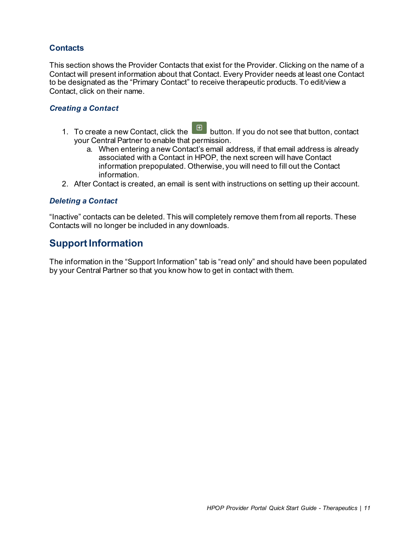## <span id="page-10-0"></span>**Contacts**

This section shows the Provider Contacts that exist for the Provider. Clicking on the name of a Contact will present information about that Contact. Every Provider needs at least one Contact to be designated as the "Primary Contact" to receive therapeutic products. To edit/view a Contact, click on their name.

#### <span id="page-10-1"></span>*Creating a Contact*

- 1. To create a new Contact, click the  $\Box$  button. If you do not see that button, contact your Central Partner to enable that permission.
	- a. When entering a new Contact's email address*,* if that email address is already associated with a Contact in HPOP, the next screen will have Contact information prepopulated. Otherwise, you will need to fill out the Contact information.
- 2. After Contact is created, an email is sent with instructions on setting up their account.

#### <span id="page-10-2"></span>*Deleting a Contact*

"Inactive" contacts can be deleted. This will completely remove them from all reports. These Contacts will no longer be included in any downloads.

## <span id="page-10-3"></span>**Support Information**

The information in the "Support Information" tab is "read only" and should have been populated by your Central Partner so that you know how to get in contact with them.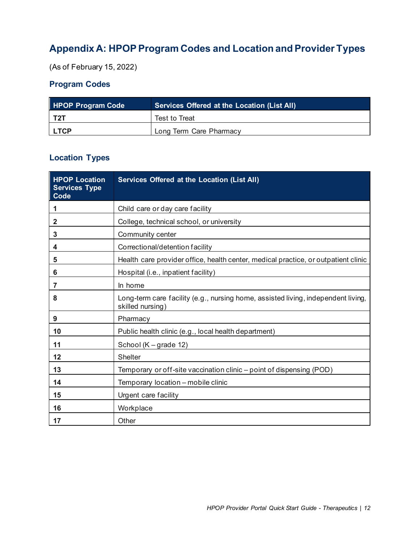# <span id="page-11-0"></span>**Appendix A: HPOP Program Codes and Location and Provider Types**

(As of February 15, 2022)

## <span id="page-11-1"></span>**Program Codes**

| <b>HPOP Program Code</b> | Services Offered at the Location (List All) |
|--------------------------|---------------------------------------------|
| l T2T                    | Test to Treat                               |
| I LTCP.                  | Long Term Care Pharmacy                     |

## <span id="page-11-2"></span>**Location Types**

| <b>HPOP Location</b><br><b>Services Type</b><br>Code | Services Offered at the Location (List All)                                                           |
|------------------------------------------------------|-------------------------------------------------------------------------------------------------------|
| 1                                                    | Child care or day care facility                                                                       |
| $\mathbf 2$                                          | College, technical school, or university                                                              |
| 3                                                    | Community center                                                                                      |
| 4                                                    | Correctional/detention facility                                                                       |
| 5                                                    | Health care provider office, health center, medical practice, or outpatient clinic                    |
| 6                                                    | Hospital (i.e., inpatient facility)                                                                   |
| 7                                                    | In home                                                                                               |
| 8                                                    | Long-term care facility (e.g., nursing home, assisted living, independent living,<br>skilled nursing) |
| 9                                                    | Pharmacy                                                                                              |
| 10                                                   | Public health clinic (e.g., local health department)                                                  |
| 11                                                   | School (K - grade 12)                                                                                 |
| 12                                                   | Shelter                                                                                               |
| 13                                                   | Temporary or off-site vaccination clinic – point of dispensing (POD)                                  |
| 14                                                   | Temporary location - mobile clinic                                                                    |
| 15                                                   | Urgent care facility                                                                                  |
| 16                                                   | Workplace                                                                                             |
| 17                                                   | Other                                                                                                 |